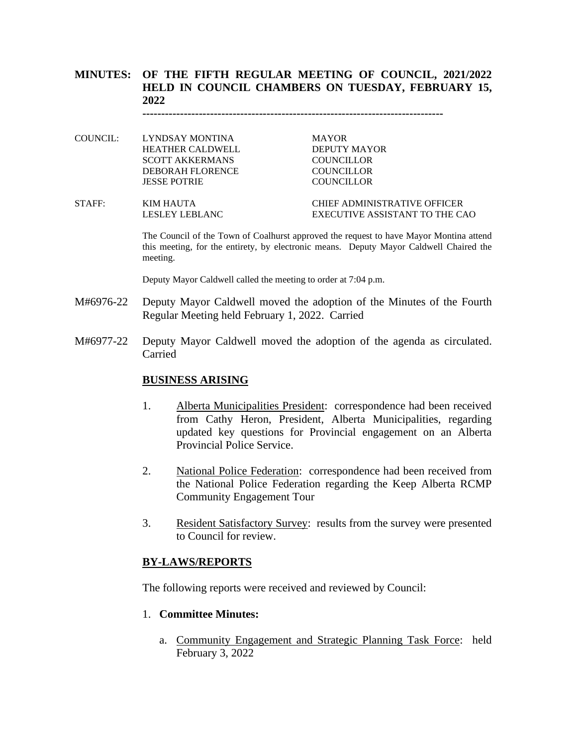# **MINUTES: OF THE FIFTH REGULAR MEETING OF COUNCIL, 2021/2022 HELD IN COUNCIL CHAMBERS ON TUESDAY, FEBRUARY 15, 2022**

**--------------------------------------------------------------------------------**

COUNCIL: LYNDSAY MONTINA MAYOR HEATHER CALDWELL DEPUTY MAYOR SCOTT AKKERMANS COUNCILLOR DEBORAH FLORENCE COUNCILLOR JESSE POTRIE COUNCILLOR

STAFF: KIM HAUTA CHIEF ADMINISTRATIVE OFFICER LESLEY LEBLANC EXECUTIVE ASSISTANT TO THE CAO

> The Council of the Town of Coalhurst approved the request to have Mayor Montina attend this meeting, for the entirety, by electronic means. Deputy Mayor Caldwell Chaired the meeting.

Deputy Mayor Caldwell called the meeting to order at 7:04 p.m.

- M#6976-22 Deputy Mayor Caldwell moved the adoption of the Minutes of the Fourth Regular Meeting held February 1, 2022. Carried
- M#6977-22 Deputy Mayor Caldwell moved the adoption of the agenda as circulated. Carried

#### **BUSINESS ARISING**

- 1. Alberta Municipalities President: correspondence had been received from Cathy Heron, President, Alberta Municipalities, regarding updated key questions for Provincial engagement on an Alberta Provincial Police Service.
- 2. National Police Federation: correspondence had been received from the National Police Federation regarding the Keep Alberta RCMP Community Engagement Tour
- 3. Resident Satisfactory Survey: results from the survey were presented to Council for review.

#### **BY-LAWS/REPORTS**

The following reports were received and reviewed by Council:

#### 1. **Committee Minutes:**

a. Community Engagement and Strategic Planning Task Force: held February 3, 2022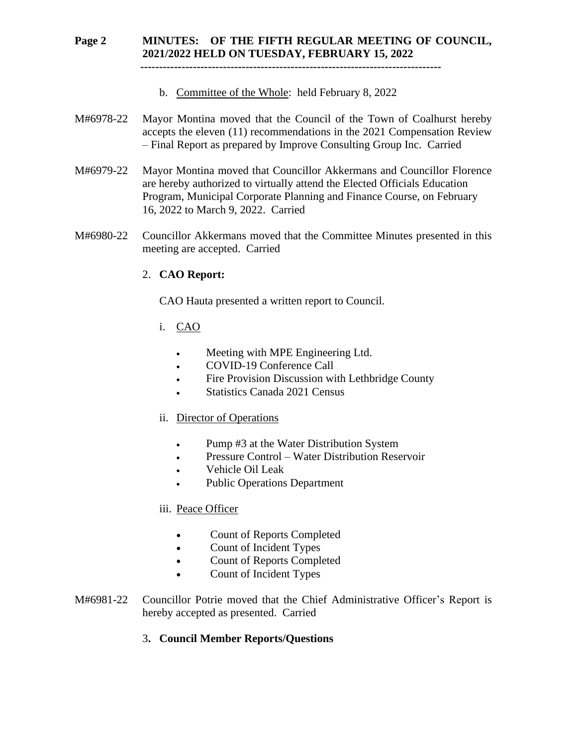# **Page 2 MINUTES: OF THE FIFTH REGULAR MEETING OF COUNCIL, 2021/2022 HELD ON TUESDAY, FEBRUARY 15, 2022**

 **--------------------------------------------------------------------------------**

- b. Committee of the Whole: held February 8, 2022
- M#6978-22 Mayor Montina moved that the Council of the Town of Coalhurst hereby accepts the eleven (11) recommendations in the 2021 Compensation Review – Final Report as prepared by Improve Consulting Group Inc. Carried
- M#6979-22 Mayor Montina moved that Councillor Akkermans and Councillor Florence are hereby authorized to virtually attend the Elected Officials Education Program, Municipal Corporate Planning and Finance Course, on February 16, 2022 to March 9, 2022. Carried
- M#6980-22 Councillor Akkermans moved that the Committee Minutes presented in this meeting are accepted. Carried

## 2. **CAO Report:**

CAO Hauta presented a written report to Council.

- i. CAO
	- Meeting with MPE Engineering Ltd.
	- COVID-19 Conference Call
	- Fire Provision Discussion with Lethbridge County
	- Statistics Canada 2021 Census

## ii. Director of Operations

- Pump #3 at the Water Distribution System
- Pressure Control Water Distribution Reservoir
- Vehicle Oil Leak
- Public Operations Department

## iii. Peace Officer

- Count of Reports Completed
- Count of Incident Types
- Count of Reports Completed
- Count of Incident Types
- M#6981-22 Councillor Potrie moved that the Chief Administrative Officer's Report is hereby accepted as presented. Carried

## 3**. Council Member Reports/Questions**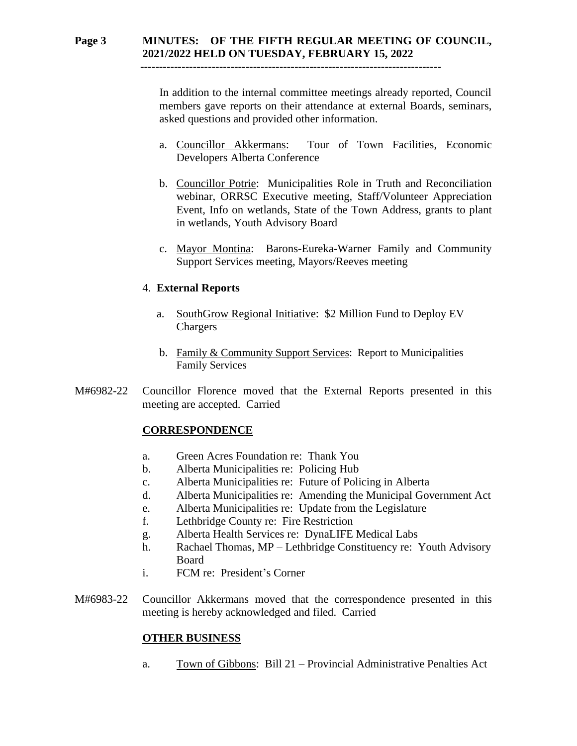# **Page 3 MINUTES: OF THE FIFTH REGULAR MEETING OF COUNCIL, 2021/2022 HELD ON TUESDAY, FEBRUARY 15, 2022**

 **--------------------------------------------------------------------------------**

In addition to the internal committee meetings already reported, Council members gave reports on their attendance at external Boards, seminars, asked questions and provided other information.

- a. Councillor Akkermans: Tour of Town Facilities, Economic Developers Alberta Conference
- b. Councillor Potrie: Municipalities Role in Truth and Reconciliation webinar, ORRSC Executive meeting, Staff/Volunteer Appreciation Event, Info on wetlands, State of the Town Address, grants to plant in wetlands, Youth Advisory Board
- c. Mayor Montina: Barons-Eureka-Warner Family and Community Support Services meeting, Mayors/Reeves meeting

## 4. **External Reports**

- a. SouthGrow Regional Initiative: \$2 Million Fund to Deploy EV Chargers
- b. Family & Community Support Services: Report to Municipalities Family Services
- M#6982-22 Councillor Florence moved that the External Reports presented in this meeting are accepted. Carried

# **CORRESPONDENCE**

- a. Green Acres Foundation re: Thank You
- b. Alberta Municipalities re: Policing Hub
- c. Alberta Municipalities re: Future of Policing in Alberta
- d. Alberta Municipalities re: Amending the Municipal Government Act
- e. Alberta Municipalities re: Update from the Legislature
- f. Lethbridge County re: Fire Restriction
- g. Alberta Health Services re: DynaLIFE Medical Labs
- h. Rachael Thomas, MP Lethbridge Constituency re: Youth Advisory Board
- i. FCM re: President's Corner
- M#6983-22 Councillor Akkermans moved that the correspondence presented in this meeting is hereby acknowledged and filed. Carried

## **OTHER BUSINESS**

a. Town of Gibbons: Bill 21 – Provincial Administrative Penalties Act